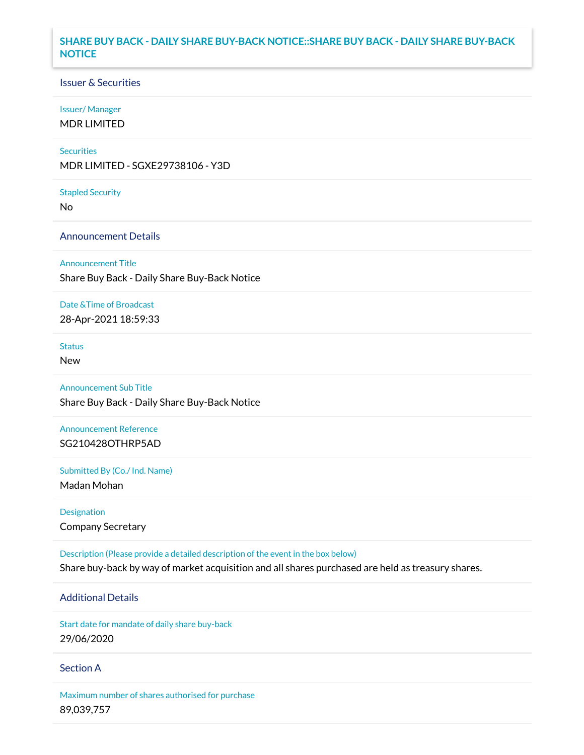## **SHARE BUY BACK - DAILY SHARE BUY-BACK NOTICE::SHARE BUY BACK - DAILY SHARE BUY-BACK NOTICE**

### Issuer & Securities

### Issuer/ Manager

MDR LIMITED

### **Securities**

MDR LIMITED - SGXE29738106 - Y3D

#### Stapled Security

No

### Announcement Details

#### Announcement Title

Share Buy Back - Daily Share Buy-Back Notice

### Date &Time of Broadcast

28-Apr-2021 18:59:33

## **Status**

New

## Announcement Sub Title

Share Buy Back - Daily Share Buy-Back Notice

### Announcement Reference SG210428OTHRP5AD

Submitted By (Co./ Ind. Name)

Madan Mohan

Designation Company Secretary

Description (Please provide a detailed description of the event in the box below) Share buy-back by way of market acquisition and all shares purchased are held as treasury shares.

# Additional Details

Start date for mandate of daily share buy-back 29/06/2020

### Section A

Maximum number of shares authorised for purchase 89,039,757